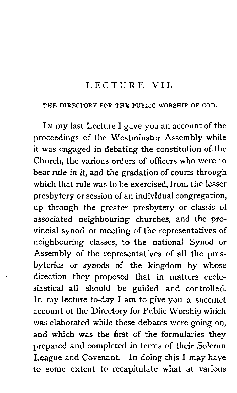### LECTURE VII.

### THE DIRECTORY FOR THE PUBLIC WORSHIP OF GOD.

IN my last Lecture I gave you an account of the proceedings of the Westminster Assembly while it was engaged in debating the constitution of the Church, the various orders of officers who were to bear rule in it, and the gradation of courts through which that rule was to be exercised, from the lesser presbytery or session of an individual congregation, up through the greater presbytery or classis of associated neighbouring churches, and the provincial synod or meeting of the representatives of neighbouring classes, to the national Synod or Assembly of the representatives of all the presbyteries or synods of the kingdom by whose direction they proposed that in matters ecclesiastical all should be guided and controlled. In my lecture to-day I am to give you a succinct account of the Directory for Public Worship which was elaborated while these debates were going on, and which was the first of the formularies they prepared and completed in terms of their Solemn League and Covenant. In doing this I may have to some extent to recapitulate what at various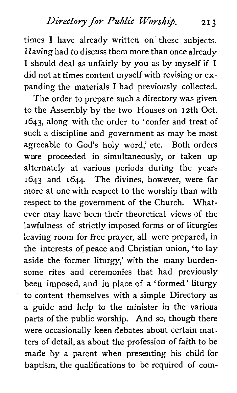*Directory/or Public* **Worship. 21 3** 

times I have already written on these subjects. Having had to discuss them more than once already I should deal as unfairly by you as by myself if I did not at times content myself with revising or expanding the materials I had previously collected.

The order to prepare such a directory was given to the Assembly by the two Houses on 12th Oct. 1643, along with the order to 'confer and treat of such a discipline and government as may be most agreeable to God's holy word,' etc. Both orders were proceeded in simultaneously, or taken up alternately at various periods during the years 1643 and 1644. The divines, however, were far more at one with respect to the worship than with respect to the government of the Church. Whatever may have been their theoretical views of the lawfulness of strictly imposed forms or of liturgies leaving room for free prayer, all were prepared, in the interests of peace and Christian union, 'to lay aside the former liturgy,' with the many burdensome rites and ceremonies that had previously been imposed, and in place of a 'formed' liturgy to content themselves with a simple Directory as a guide and help to the minister in the various parts of the public worship. And so, though there were occasionally keen debates about certain matters of detail, as about the profession of faith to be made by a parent when presenting his child for baptism, the qualifications to be required of com-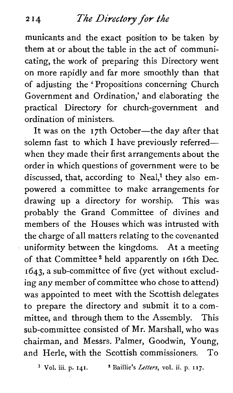municants and the exact position to be taken by them at or about the table in the act of communicating, the work of preparing this Directory went on more rapidly and far more smoothly than that of adjusting the ' Propositions concerning Church Government and Ordination,' and elaborating the practical Directory for church-government and ordination of ministers.

It was on the 17th October-the day after that solemn fast to which I have previously referredwhen they made their first arrangements about the order in which questions of government were to be discussed, that, according to  $Neal<sup>1</sup>$ , they also empowered a committee to make arrangements for drawing up a directory for worship. This was probably the Grand Committee of divines and members of the Houses which was intrusted with the charge of all matters relating to the covenanted uniformity between the kingdoms. At a meeting of that Committee<sup>2</sup> held apparently on 16th Dec. 1643, a sub-committee of five (yet without excluding any member of committee who chose to attend) was appointed to meet with the Scottish delegates to prepare the directory and submit it to a committee, and through them to the Assembly. This sub-committee consisted of Mr. Marshall, who was chairman, and Messrs. Palmer, Goodwin, Young, and Herle, with the Scottish commissioners. To

**Vol. iii. p. 141.** ' **Baillie's Letters, vol.** ii. **p. I 17.**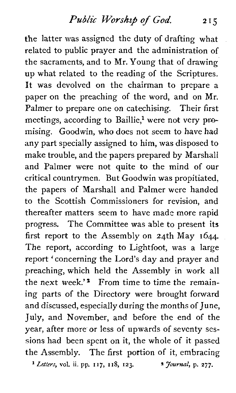the latter was assigned the duty of drafting what related to public prayer and the administration of the sacraments, and to Mr. Young that of drawing up what related to the reading of the Scriptures, It was devolved on the chairman to prepare a paper on the preaching of the word, and on Mr. Palmer to prepare one on catechising. Their first meetings, according to Baillie,<sup>1</sup> were not very promising. Goodwin, who does not seem to have had any part specially assigned to him, was disposed to make trouble, and the papers prepared by Marshall and Palmer were not quite to the mind of our critical countrymen. But Goodwin was propitiated, the papers of Marshal1 and Palmer were handed to the Scottish Commissioners for revision, and thereafter matters seem to have made more rapid progress. The Committee was able to present its first report to the Assembly on 24th May 1644. The report, according to Lightfoot, was a large report ' concerning the Lord's day and prayer and preaching, which held the Assembly in work all<br>the next week.'<sup>2</sup> From time to time the remaining parts of the Directory were brought forward and discussed, especially during the months of June, July, and November, and before the end of the year, after more or less of upwards of seventy sessions had been spent on it, the whole of it passed the Assembly. The first portion of it, embracing *\*Let/ers,* **vol. ii. pp. 117, 118, 123. a Journal,** p. **277.**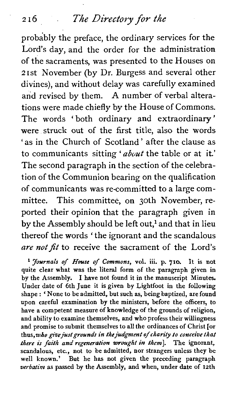probably the preface, the ordinary services for the Lord's day, and the order for the administration of the sacraments, was presented to the Houses on 21st November (by Dr. Burgess and several other divines), and without delay was carefully examined and revised by them. A number of verbal alterations were made chiefly by the House of Commons. The words 'both ordinary and extraordinary' were struck out of the first title, also the words ' as in the Church of Scotland ' after the clause as to communicants sitting ' *about* the table or at it.' The second paragraph in the section of the celebration of the Communion bearing on the qualification of communicants was re-committed to a large committee. This committee, on 30th November, reported their opinion that the paragraph given in by the Assembly should be left out,<sup>1</sup> and that in lieu thereof the words 'the ignorant and the scandalous *are* not fit to receive the sacrament of the Lord's

*Journals of House of Commons,* vol. iii. p. 710. It is not quite clear what was the literal form of the paragraph given in by the Assembly. I have not found it in the manuscript Minutes. Under date of 6th June it is given by Lightfoot in the following shape : ' None to be admitted, but such **as,** being baptized, are found upon careful examination by the ministers, before the officers, to have a competent measure of knowledge of the grounds of religion, and ability to examine themselves, and who profess their willingness and promise to submit themselves to all the ordinances of Christ [or thus,who *givejustgrounds* in *thejudgment of charity to conceive that there is faith and regeneration wrought in them*]. The ignorant, scandalous, etc., not to be admitted, nor strangers unless they be well known.' But he has not given the preceding paragraph *verbatim* as passed by the Assembly, and when, under date of **12th**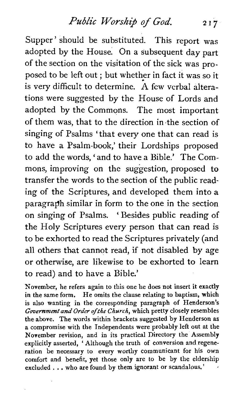*Public Worshz.* **of** God. **<sup>217</sup>**

Supper' should be substituted. This report was adopted by the House. On a subsequent day part of the section on the visitation of the sick was proposed to be left out ; but whether in fact it was so it is very difficult to determine. A few verbal alterations were suggested by the House of Lords and adopted by the Commons. The most important of them was, that to the direction in-the section of singing of Psalms 'that every one that can read is to have a Psalm-book,' their Lordships proposed to add the words, ' and to have a Bible.' The Commons, improving on the suggestion, proposed to transfer the words to the section of the public reading of the Scriptures, and developed them into a paragraph similar in form to the one in the section on singing of Psalms. ' Besides public reading of the Holy Scriptures every person that can read is to be exhorted to read the Scriptures privately (and all others that cannot read, if not disabled by age or otherwise, are likewise to be exhorted to learn to read) and to have a Bible.'

November, he refers again to this one he does not insert it exactly in the same form. He omits the clause relating to baptism, which is also wanting in the corresponding paragraph of Henderson's *Governmentand* **Order** *ofthe* **Church,** which pretty closely resembles the above. The words within brackets suggested by Henderson as a compromise with the Independents were probably left out at the November revision, and in its practical Directory the Assembly explicitly asserted, ' Although the truth of conversion and regeneration be necessary to every worthy communicant for his own comfort and benefit, yet those only are to be by the eldership excluded . . . who are found by them ignorant or scandalous.'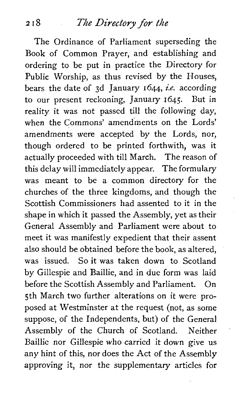The Ordinance of Parliament superseding the Book of Common Prayer, and establishing and ordering to be put in practice the Directory for Public Worship, as thus revised by the Houses, bears the date of 3d January 1644, *i.e.* according to our present reckoning, January 1645. But in reality it was not passed till the following day, when the Commons' amendments on the Lords' amendments were accepted by the Lords, nor, though ordered to be printed forthwith, was it actually proceeded with till March. The reason of this delay will immediately appear. The formulary was meant to be a common directory for the churches of the three kingdoms, and though the Scottish Commissioners had assented to it in the shape in which it passed the Assembly, yet as their General Assembly and Parliament were about to meet it was manifestly expedient that their assent also should be obtained before the book, as altered, was issued. So it was taken down to Scotland by Gillespie and Baillie, and in due form was laid before the Scottish Assembly and Parliament. On 5th March two further alterations on it were proposed at Westminster at the request (not, as some suppose, of the Independents, but) of the General Assembly of the Church of Scotland. Neither Baillie nor Gillespie who carried it down give us any hint of this, nor does the Act of the Assembly approving it, nor the supplementary articles for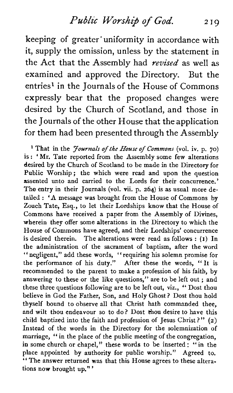#### *Public Worship* **of** God. 210

keeping of greater'uniformity in accordance with it, supply the omission, unless by the statement in the Act that the Assembly had *revised* as well as examined and approved the Directory. But the entries<sup>1</sup> in the Journals of the House of Commons expressly bear that the proposed changes were desired by the Church of Scotland, and those in the Journals of the other House that the application for them had been presented through the Assembly

<sup>1</sup> That in the *Fournals of the House of Commons* (vol. iv. p. 70) is : 'Mr. Tate reported from the Assembly some few alterations desired by the Church of Scotland to be made in the Directory for Public Worship; the which were read and upon the question assented unto and carried to the Lords for their concurrence.' The entry in their Journals (vol. vii. p. 264) is as usual more detailed : **'A** message was brought from the House of Commons by Zouch Tate, Esq., to let their Lordships know that the House of Commons have received a paper from the Assembly of Divines, wherein they offer some alterations in the Directory to which the House of Commons have agreed, and their Lordships' concurrence is desired therein. The alterations were read as follows : (I) In the administration of the sacrament of baptism, after the word "negligent," add these words, "requiring his solemn promise for the performance of his duty." After these the words, "It is recommended to the parent to make a profession of his faith, by answering to these or the like questions," are to be left out ; and these three questions following are to be left out, viz., " Dost thou believe in God the Father, Son, and Holy Ghost? Dost thou hold thyself bound to observe all that Christ hath commanded thee, and wilt thou endeavour so to do? Dost thou desire to have this child baptized into the faith and profession of Jesus Christ ?"  $(2)$ Instead of the words in the Directory for the solemnization of marriage, "in the place of the public meeting of the congregation, in some church or chapel," these words to be inserted : " in the place appointed by authority for public worship." Agreed to. 'The answer returned was that this House agrees to these alterations now brought up." '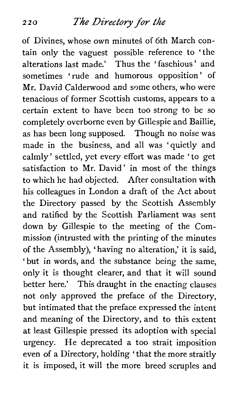of Divines, whose own minutes of 6th March contain only the vaguest possible reference to 'the alterations last made.' Thus the ' faschious ' and sometimes 'rude and humorous opposition' of Mr. David Calderwood and some others, who were tenacious of former Scottish customs, appears to a certain extent to have been too strong to be so completely overborne even by Gillespie and Baillie, as has been long supposed. Though no noise was made in the business, and all was 'quietly and calmly' settled, yet every effort was made 'to get satisfaction to Mr. David' in most of the things to which he had objected. After consultation with his colleagues in London a draft of the Act about the Directory passed by the Scottish Assembly and ratified by the Scottish Parliament was sent down by Gillespie to the meeting of the Commission (intrusted with the printing of the minutes of the Assembly), 'having no alteration,' it is said, 'but in words, and the substance being the same, only it is thought clearer, and that it will sound better here.' This draught in the enacting clauses not only approved the preface of the Directory, but intimated that the preface expressed the intent and meaning of the Directory, and to this extent at least Gillespie pressed its adoption with special urgency. He deprecated a too strait imposition even of a Directory, holding 'that the more straitly it is imposed, it will the more breed scruples and

 $220$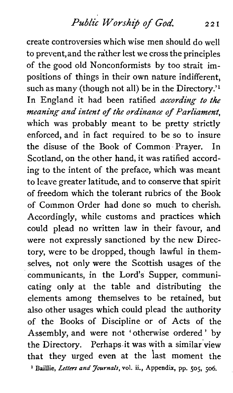*Public Worship* **of** God. **22 I** 

create controversies which wise men should do well to prevent,and the rather lest we cross the principles of the good old Nonconformists by too strait impositions of things in their own nature indifferent, such as many (though not all) be in the Directory.<sup>'1</sup> In England it had been ratified *according to the meaning and intent of the ordinance of Parliament,*  which was probably meant to be pretty strictly enforced, and in fact required to be so to insure the disuse of the Book of Common Prayer. In Scotland, on the other hand, it was ratified according to the intent of the preface, which was meant to leave greater latitude, and to conserve that spirit of freedom which the tolerant rubrics of the Book of Common Order had done so much to cherish. Accordingly, while customs and practices which could plead no written law in their favour, and were not expressly sanctioned by the new Directory, were to be dropped, though lawful in themselves, not only were the Scottish usages of the communicants, in the Lord's Supper, communicating only at the table and distributing the elements among themselves to be retained, but also other usages which could plead the authority of the Books of Discipline or of Acts of the Assembly, and were not 'otherwise ordered ' by the Directory. Perhaps it was with a similar view that they urged even at the last moment the **1 Baillie,** *Letters* **and** *Journals,* **vol.** ii., **Appendix, pp. 505, 506.**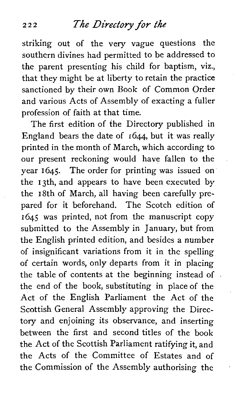striking out of the very vague questions the southern divines had permitted to be addressed to the parent presenting his child for baptism, viz., that they might be at liberty to retain the practice sanctioned by their own Book of Common Order and various Acts of Assembly of exacting a fuller profession of faith at that time.

The first edition of the Directory published in England bears the date of 1644, but it was really printed in the month of March, which according to our present reckoning would have fallen to the year 1645. The order for printing was issued on the 13th, and appears to have been executed by the 18th of March, all having been carefully prepared for it beforehand. The Scotch edition of **1645** was printed, not from the manuscript copy submitted to the Assembly in January, but from the English printed edition, and besides a number of insignificant variations from it in the spelling of certain words, only departs from it in placing the table of contents at the beginning instead of the end of the book, substituting in place of the Act of the English Parliament the Act of the Scottish General Assembly approving the Directory and enjoining its observance, and inserting between the first and second titles of the book the Act of the Scottish Parliament ratifying it, and the Acts of the Committee of Estates and of the Commission of the Assembly authorising the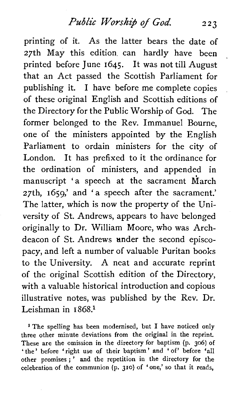## *Public Worshz.* **of** God. *2* **<sup>23</sup>**

printing of it. As the latter bears the date of 27th May this edition can hardly have been printed before June 1645. It was not till August that an Act passed the Scottish Parliament for publishing it. I have before me complete copies of these original English and Scottish editions of the Directory for the Public Worship of God. The former belonged to the Rev. Immanuel Bourne, one of the ministers appointed by the English Parliament to ordain ministers for the city of London. It has prefixed to it the ordinance for the ordination of ministers, and appended in manuscript 'a speech at the sacrament March 27th, 1659,' and 'a speech after the sacrament.' The latter, which is now the property of the University of St. Andrews, appears to have belonged originally to Dr. William Moore, who was Archdeacon of St. Andrews under the second episcopacy, and left a number of valuable Puritan books to the University. A neat and accurate reprint of the original Scottish edition of the Directory, with a valuable historical introduction and copious illustrative notes, was published by the Rev. Dr. Leishman in 1868<sup>1</sup>

**<sup>1</sup>**The spelling has been modernised, but I have noticed only three other minute deviations from the original in the reprint. These are the omission in the directory for baptism (p. **306)** of ' the' before 'right use of their baptism' and 'of' before 'all other promises ; ' **and** the repetition in the directory for the celebration of the communion (p. **310)** of 'one,' so that it reads,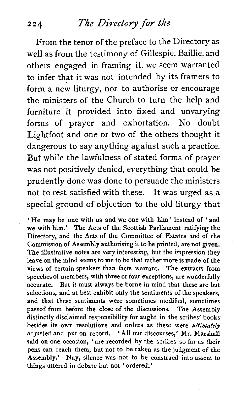From the tenor of the preface to the Directory as well as from the testimony of Gillespie, Baillie, and others engaged in framing it, we seem warranted to infer that it was not intended by its framers to form a new liturgy, nor to authorise or encourage the ministers of the Church to turn the help and furniture it provided into fixed and unvarying forms of prayer and exhortation. No doubt Lightfoot and one or two of the others thought it dangerous to say anything against such a practice. But while the lawfulness of stated forms of prayer was not positively denied, everything that could be prudently done was done to persuade the ministers not to rest satisfied with these. It was urged as a special ground of objection to the old liturgy that

'He may be one with us and we one with him' instead of 'and we with him.' The Acts of the Scottish Parliament ratifying the Directory, and the Acts of the Committee of Estates and of the Commission of Assembly authorising it to be printed, are not given. The illustrative notes are very interesting, but the impression they leave on the mind seems to me to be that rather more is made of the views of certain speakers than facts warrant. The extracts from speeches of members, with three or four exceptions, are wonderfully accurate. But it must always be borne in mind that these are but selections, and at best exhibit only the sentiments of the speakers, and that these sentiments were sometimes modified, sometimes passed from before the close of the discussions. The Assembly distinctly disclaimed responsibility for aught in the scribes' books besides its own resolutions and orders as these were **ultimately**  adjusted and put on record. ' All our discourses,' Mr. Marshall said on one occasion, 'are recorded by the scribes so far as their pens can reach them, but not to be taken as the judgment of the Assembly.' Nay, silence **was** not to be construed into assent to things uttered in debate but not 'ordered.'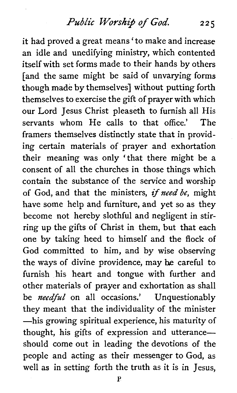*Public* **Worship of** God.  $225$ 

it had proved a great means ' to make and increase an idle and unedifying ministry, which contented itself with set forms made to their hands by others [and the same might be said of unvarying forms though made by themselves] without putting forth themselves to exercise the gift of prayer with which our Lord Jesus Christ pleaseth to furnish all His servants whom He calls to that office.' The framers themselves distinctly state that in providing certain materials of prayer and exhortation their meaning was only 'that there might be a consent of all the churches in those things which contain the substance of the service and worship of God, and that the ministers, if *need be,* might have some help and furniture, and yet so as they become not hereby slothful and negligent in stirring up the gifts of Christ in them, but that each one by taking heed to himself and the flock of God committed to him, and by wise observing the ways of divine providence, may he careful to furnish his heart and tongue with further and other materials of prayer and exhortation as shall be *needful* on all occasions.' Unquestionably they meant that the individuality of the minister -his growing spiritual experience, his maturity of thought, his gifts of expression and utteranceshould come out in leading the devotions of the people and acting as their messenger to God, as well as in setting forth the truth as it is in Jesus,

**P**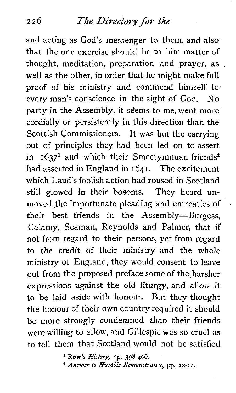and acting as God's messenger to them, and also that the one exercise should be to him matter of thought, meditation, preparation and prayer, as well as the other, in order that he might make full proof of his ministry and commend himself to every man's conscience in the sight of God. No party in the Assembly, it seems to me, went more cordially or persistently in this direction than the Scottish Commissioners. It was but the carrying out of principles they had been led on to assert in  $1637<sup>1</sup>$  and which their Smectymnuan friends<sup>2</sup> had asserted in England in **1641.** The excitement which Laud's foolish action had roused in Scotland still glowed in their bosoms. They heard unmoved the importunate pleading and entreaties of their best friends in the Assembly-Burgess, Calamy, Seaman, Reynolds and Palmer, that if not from regard to their persons, yet from regard to the credit of their ministry and the whole ministry of England, they would consent to leave out from the proposed preface some of the harsher expressions against the old liturgy, and allow it to be laid aside with honour. But they thought the honour of their own country required it should be more strongly condemned than their friends were willing to allow, and Gillespie was so cruel as to tell them that Scotland would not be satisfied

> **1 Row's History, pp. 398-406.**  <sup>2</sup> *Answer to Humble Remonstrance*, *pp. 12-14.*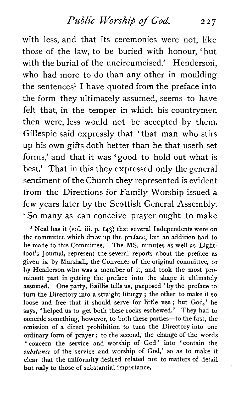with less, and that its ceremonies were not, like those of the law, to be buried with honour, 'but with the burial of the uncircumcised.' Henderson, who had more to do than any other in moulding the sentences<sup>1</sup> I have quoted from the preface into the form they ultimately assumed, seems to have felt that, in the temper in which his countrymen then were, less would not be accepted by them. Gillespie said expressly that 'that man who stirs up his own gifts doth better than he that useth set forms,' and that it was ' good to hold out what is best.' That in this they expressed only the general sentiment of the Church they represented is evident from the Directions for Family Worship issued a few years later by the Scottish General Assembly. ' So many as can conceive prayer ought to make

Neai has it (vol. iii. p. **143)** that several Independents were on the committee which drew up the preface, but an addition had to be made to this Committee. The MS. minutes as well as Lightfoot's Journal, represent the several reports about the preface as given in by Marshall, the Convener of the original committee, or by Henderson who was a member of it, and took the most prominent part in getting the preface into the shape it ultimately assumed. One party, Baillie tells us, purposed 'by the preface to turn the Directory into a straight liturgy ; the other to make it so loose and free that it should serve for little use ; but God,' he says, 'helped us to get both these rocks eschewed.' They had to concede something, however, to both these parties-to the first, the omission of a direct prohibition to turn the Directory into one ordinary form of prayer ; to the second, the change of the words ' concern the service and worship of God ' into ' contain the *substance* of the service and worship of God,' so as to make it clear that the uniformity desired related not to matters of detail but only to those of substantial importance.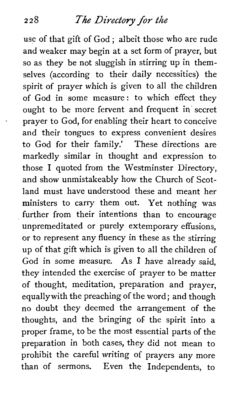use of that gift of God ; albeit those who are rude and weaker may begin at a set form of prayer, but so as they be not sluggish in stirring up in themselves (according to their daily necessities) the spirit of prayer which is given to all the children of God in some measure: to which effect they ought to be more fervent and frequent in secret prayer to God, for enabling their heart to conceive and their tongues to express convenient desires to God for their family.' These directions are markedly similar in thought and expression to those I quoted from the Westminster Directory, and show unmistakeably how the Church of Scotland must have understood these and meant her ministers to carry them out. Yet nothing was further from their intentions than to encourage unpremeditated or purely extemporary effusions, or to represent any fluency in these as the stirring up of that gift which is given to all the children of God in some measure. As I have already said, they intended the exercise of prayer to be matter of thought, meditation, preparation and prayer, equallywith the preaching of the word; and though no doubt they deemed the arrangement of the thoughts, and the bringing of the spirit into a proper frame, to be the most essential parts of the preparation in both cases, they did not mean to prohibit the careful writing of prayers any more than of sermons. Even the Independents, to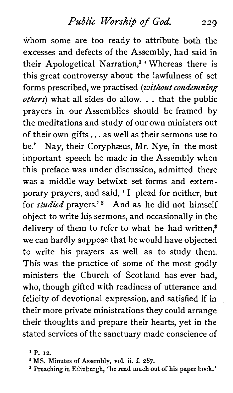*Public* **Worship of** *God.* **<sup>229</sup>**

whom some are too ready to attribute both the excesses and defects of the Assembly, had said in their Apologetical Narration.<sup>1</sup> 'Whereas there is this great controversy about the lawfulness of set forms prescribed, **we** practised *(withut* **condemning**  *others)* what all sides do allow. . . that the public prayers in our Assemblies should be framed by the meditations and study of our own ministers out of their own gifts.. . as well as their sermons use to be.' Nav, their Corvphæus, Mr. Nye, in the most important speech he made in the Assembly when this preface was under discussion, admitted there was a middle way betwixt set forms and extemporary prayers, and said, 'I plead for neither, but for *studied* prayers.'<sup>2</sup> And as he did not himself object to write his sermons, and occasionally in the delivery of them to refer to what he had written.<sup>3</sup> we can hardly suppose that he would have objected to write his prayers as well as to study them. This was the practice of some of the most godly ministers the Church of Scotland has ever had, who, though gifted with readiness of utterance and felicity of devotional expression, and satisfied if in their more private ministrations they could arrange their thoughts and prepare their hearts, yet in the stated services of the sanctuary made conscience of

<sup>&#</sup>x27; **P. 12.** 

**MS. Minutes of Assembly, vol.** ii. **f. 287.** 

**Preaching in Edinburgh, 'he read much out of his paper book.'**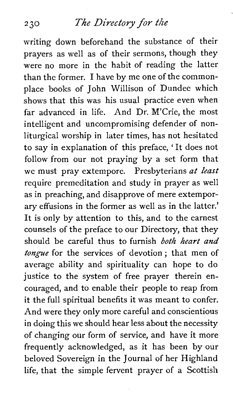writing down beforehand the substance of their prayers as well as of their sermons, though they were no more in the habit of reading the latter than the former. I have by me one of the commonplace books of John Willison of Dundee which shows that this was his usual practice even when far advanced in life. And Dr. M'Crie, the most intelligent and uncompromising defender of nonliturgical worship in later times, has not hesitated to say in explanation of this preface, ' It does not follow from our not praying by a set form that we must pray extempore. Presbyterians *at least*  require premeditation and study in prayer as well as in preaching, and disapprove of mere extemporary effusions in the former as well as in the latter.' It is only by attention to this, and to the earnest counsels of the preface to our Directory, that they should be careful thus to furnish *both heart and tongue* for the services of devotion ; that men of average ability and spirituality can hope to do justice to the system of free prayer therein encouraged, and to enable their people to reap from it the full spiritual benefits it was meant to confer. And were they only more careful and conscientious in doing this we should hear less about the necessity of changing our form of service, and have it more frequently acknowledged, as it has been by our beloved Sovereign in the Journal of her Highland life, that the simple fervent prayer of a Scottish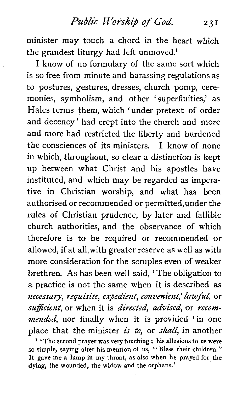*Public Worshz/* **of** God. 231

minister may touch a chord in the heart which the grandest liturgy had left unmoved.<sup>1</sup>

I know of no formulary of the same sort which is so free from minute and harassing regulations as to postures, gestures, dresses, church pomp, ceremonies, symbolism, and other 'superfluities,' as Hales terms them, which 'under pretext of order and decency ' had crept into the church and more and more had restricted the liberty and burdened the consciences of its ministers. I know of none in which, throughout, so clear a distinction is kept up between what Christ and his apostles have instituted, and which may be regarded as imperative in Christian worship, and what has been authorised or recommended or permitted,under the rules of Christian prudence, by later and fallible church authorities, and the observance of which therefore is to be required or recommended or allowed, if at all, with greater reserve as well as with more consideration for the scruples even of weaker brethren. As has been well said, ' The obligation to a practice is not the same when it is described as necessary, requisite, expedient, convenient,' lawful, or sufficient, or when it is directed, advised, or recommended, nor finally when it is provided 'in one place that the minister is to, or shall, in another

**'The second prayer was very touching** ; **his allusions to us were so simple, saying after his mention of us,** " **Bless their children." It gave me a lump in my throat, as also when he prayed for the dying, the wounded, the widow and the orphans.'**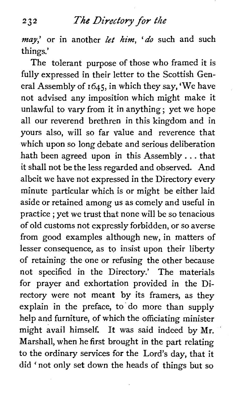**may,'** or in another *let* him, 'do such and such things.'

The tolerant purpose of those who framed it is fully expressed in their letter to the Scottish General Assembly of  $1645$ , in which they say, 'We have not advised any imposition which might make it unlawful to vary from it in anything; yet we hope all our reverend brethren in this kingdom and in yours also, will so far value and reverence that which upon so long debate and serious deliberation hath been agreed upon in this Assembly. . . that it shall not be the less regarded and observed. And albeit we have not expressed in the Directory every minute particular which is or might be either laid aside or retained among us as comely and useful in practice ; yet we trust that none will be so tenacious of old customs not expressly forbidden, or so averse from good examples although new, in matters of lesser consequence, as to insist upon their liberty of retaining the one or refusing the other because not specified in the Directory.' The materials for prayer and exhortation provided in the Directory were not meant by its framers, as they explain in the preface, to do more than supply help and furniture, of which the officiating minister might avail himself. It was said indeed by Mr. Marshall, when he first brought in the part relating to the ordinary services for the Lord's day, that it did 'not only set down the heads of things but so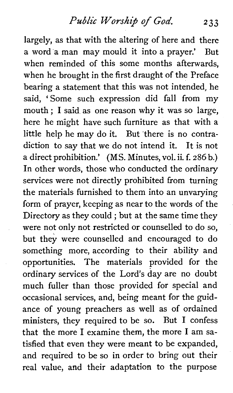*Public Worshz/* **of** *God.* **233** 

largely, as that with the altering of here and there a word a man may mould it into a prayer.' But when reminded of this some months afterwards. when he brought in the first draught of the Preface bearing a statement that this was not intended, he said, 'Some such expression did fall from my mouth ; I said as one reason why it was so large, here he might have such furniture as that with a little help he may do it. But 'there is no contradiction to say that we do not intend it. It is not a direct prohibition.' (MS. Minutes, vol. ii. f. 286 b.) In other words, those who conducted the ordinary services were not directly prohibited from turning the materials furnished to them into an unvarying form of prayer, keeping as near to the words of the Directory as they could ; but at the same time they were not only not restricted or counselled to do so, but they were counselled and encouraged to do something more, according to their ability and opportunities. The materials provided for the ordinary services of the Lord's day are no doubt much fuller than those provided for special and occasional services, and, being meant for the guidance of young preachers as well as of ordained ministers, they required to be so. But I confess that the more I examine them, the more I am satisfied that even they were meant to be expanded, and required to be so in order to bring out their real value, and their adaptation to the purpose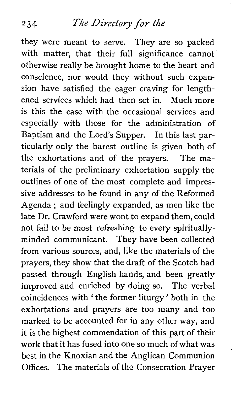they were meant to serve. They are so packed with matter, that their full significance cannot otherwise really be brought home to the heart and conscience, nor would they without such expansion have satisfied the eager craving for lengthened services which had then set in. Much more is this the case with the occasional services and especially with those for the administration of Baptism and the Lord's Supper. In this last particularly only the barest outline is given both of the exhortations and of the prayers. The materials of the preliminary exhortation supply the outlines of one of the most complete and impressive addresses to be found in any of the Reformed Agenda ; and feelingly expanded, as men like the late Dr. Crawford were wont to expand them, could not fail to be most refreshing to every spirituallyminded communicant. They have been collected from various sources, and, like the materials of the prayers, they show that the draft of the Scotch had passed through English hands, and been greatly improved and enriched by doing so. The verbal coincidences with 'the former liturgy' both in the exhortations and prayers are too many and too marked to be accounted for in any other way, and it is the highest commendation of this part of their work that it has fused into one so much of what was best in the Knoxian and the Anglican Communion Offices. The materials of the Consecration Prayer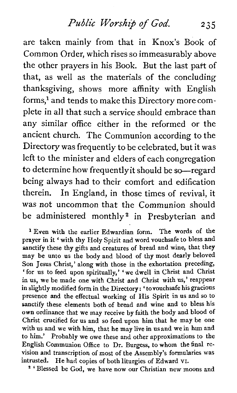#### *Public Worship* **of** *God.*  235

are taken mainly from that in Knox's Book of Common Order, which rises so immeasurably above the other prayers in his Book. But the last part of that, as well as the materials of the concluding thanksgiving, shows more affinity with English forms.<sup>1</sup> and tends to make this Directory more complete in all that such a service should embrace than any similar office either in the reformed or the ancient church. The Communion according to the Directory was frequently to be celebrated, but it was left to the minister and elders of each congregation to determine how frequently it should be so-regard being always had to their comfort and edification therein. In England, in those times of revival, it was not uncommon that the Communion should be administered monthly<sup>2</sup> in Presbyterian and

<sup>1</sup> Even with the earlier Edwardian form. The words of the prayer in it ' with thy Holy Spirit and word vouchsafe to bless and sanctify these thy gifts and creatures of bread and wine, that they may be unto us the body and blood of thy most dearly beloved Son Jesus Christ,' along with those in the exhortation preceding, 'for us to feed upon spiritually,' 'we dwell in Christ and Christ in us, we be made one with Christ and Christ with us,' reappear in slightly modified form in the Directory: ' tovouchsafe his gracious presence and the effectual working of His Spirit in us and so to sanctify these elements both of bread and wine and to bless his own ordinance that we may receive by faith the body and blood of Christ crucified for us and so feed upon him that he may be one with us and we with him, that he may live in us and we in him and to him.' Probably we owe these and other approximations to the English Communion Office to Dr. Burgess, to whom the final revision and transcription of most of the Assembly's formularies was intrusted. He had copies of both liturgies of Edward **VI.** 

' Blessed be God, we have now our Christian new moons and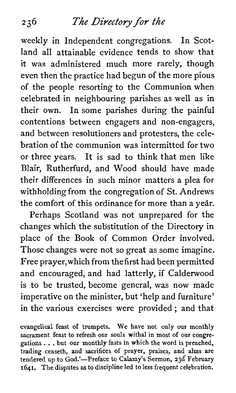weekly in Independent congregations. In Scotland all attainable evidence tends to show that it was administered much more rarely, though even then the practice had begun of the more pious of the people resorting to the Communion when celebrated in neighbouring parishes as well as in their own. In some parishes during the painful contentions between engagers and non-engagers, and between resolutioners and protesters, the celebration of the communion was intermitted for two or three years. It is sad to think that men like Blair, Rutherfurd, and Wood should have made their differences in such minor matters a plea for withholding from the congregation of St. Andrews the comfort of this ordinance for more than a year.

Perhaps Scotland was not unprepared for the changes which the substitution of the Directory in place of the Book of Common Order involved. Those changes were not so great as some imagine. Free prayer,which from thefirst had been permitted and encouraged, and had latterly, if Calderwood is to be trusted, become general, was now made imperative on the minister, but 'help and furniture' in the various exercises were provided ; and that

evangelical feast of trumpets. We have not only our monthly sacrament feast to refresh our souls withal in most of our congregations . . . but our monthly fasts in which the word is preached, trading ceaseth, and sacrifices of prayer, praises, and alms are tendered up to God.'-Preface to Calamy's Sermon, **23d'** February 1641. The disputes as to discipline led to less frequent celebration.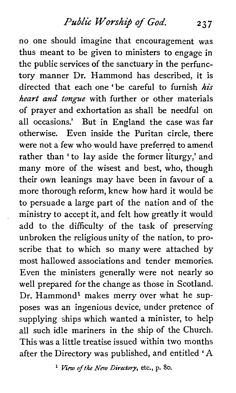no one should imagine that encouragement was thus meant to be given to ministers to engage in the public services of the sanctuary in the perfunctory manner Dr. Hammond has described, it is directed that each one 'be careful to furnish his *heart and tongue* with further or other materials of prayer and exhortation as shall be needful on all occasions.' But in England the case was far otherwise. Even inside the Puritan circle, there were not a few who would have preferred to amend rather than ' to lay aside the former liturgy,' and many more of the wisest and best, who, though their own leanings may have been in favour of a more thorough reform, knew how hard it would be to persuade a large part of the nation and of the ministry to accept it, and felt how greatly it would add to the difficulty of the task of preserving unbroken the religious unity of the nation, to proscribe that to which so many were attached by most hallowed associations and tender memories. Even the ministers generally were not nearly so well prepared for the change as those in Scotland. Dr. Hammond<sup>1</sup> makes merry over what he supposes was an ingenious device, under pretence of supplying ships which wanted a minister, to help all such idle mariners in the ship of the Church. This was a little treatise issued within two months after the Directory was published, and entitled 'A

<sup>1</sup> View of the New Directory, etc., p. 80.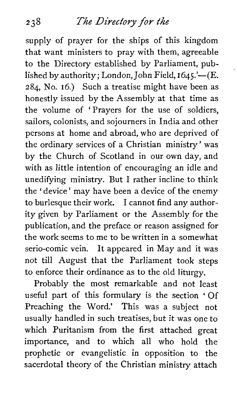supply of prayer for the ships of this kingdom that want ministers to pray with them, agreeable to the Directory established by Parliament, published by authority; London, John Field,  $1645.$ '-(E. 284, No. 16.) Such a treatise might have been as honestly issued by the Assembly at that time as the volume of 'Prayers for the use of soldiers, sailors, colonists, and sojourners in India and other persons at home and abroad, who are deprived of the ordinary services of a Christian ministry' was by the Church of Scotland in our own day, and with as little intention of encouraging an idle and unedifying ministry. But I rather incline to think the ' device ' may have been a device of the enemy to burlesque their work. I cannot find any authority given by Parliament or the Assembly for the publication, and the preface or reason assigned for the work seems to me to be written in a somewhat serio-comic vein. It appeared in May and it was not till August that the Parliament took steps to enforce their ordinance as to the old liturgy.

Probably the most remarkable and not least useful part of this formulary is the section ' Of Preaching the Word.' This was a subject not usually handled in such treatises, but it was one to which Puritanism from the first attached great importance, and to which all who hold the prophetic or evangelistic in opposition to the sacerdotal theory of the Christian ministry attach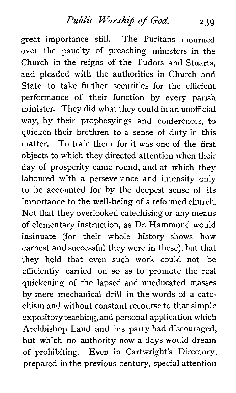*Public Worship* **of** God. **2** 39

great importance still. The Puritans mourned over the paucity of preaching ministers in the Church in the reigns of the Tudors and Stuarts, and pleaded with the authorities in Church and State to take further securities for the efficient performance of their function by every parish minister. They did what they could in an unofficial way, by their prophesyings and conferences, to quicken their brethren to a sense of duty in this matter. To train them for it was one of the first objects to which they directed attention when their day of prosperity came round, and at which they laboured with a perseverance and intensity only to be accounted for by the deepest sense of its importance to the well-being of a reformed church. Not that they overlooked catechising or any means of elementary instruction, as Dr. Hammond would insinuate (for their whole history shows how earnest and successful they were in these), but that they held that even such work could not be efficiently carried on so as to promote the real quickening of the lapsed and uneducated masses by mere mechanical drill in the words of a catechism and without constant recourse to that simple expository teaching, and personal application which Archbishop Laud and his party had discouraged, but which no authority now-a-days would dream of prohibiting. Even in Cartwright's Directory, prepared in the previous century, special attention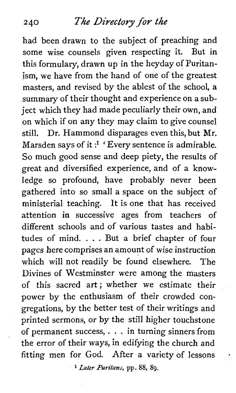had been drawn to the subject of preaching and some wise counsels given respecting it. But in this formulary, drawn up in the heyday of Puritanism, we have from the hand of one of the greatest masters, and revised by the ablest of the school, a summary of their thought and experience on a subject which they had made peculiarly their own, and on which if on any they may claim to give counsel still. Dr. Hammond disparages even this, but Mr. Marsden says of it :<sup>1</sup> ' Every sentence is admirable. So much good sense and deep piety, the results of great and diversified experience, and of a knowledge so profound, have probably never been gathered into so small a space on the subject of ministerial teaching. It is one that has received attention in successive ages from teachers of different schools and of various tastes and habitudes of mind. . . . But a brief chapter of four pages here comprises an amount of wise instruction which will not readily be found elsewhere. The Divines of Westminster were among the masters of this sacred art; whether we estimate their power by the enthusiasm of their crowded congregations, by the better test of their writings and printed sermons, or by the still higher touchstone of permanent success, . . . in turning sinners from the error of their ways, in edifying the church and fitting men for God. After a variety of lessons

**l** *Later Puritans,* **pp.** 88, 89.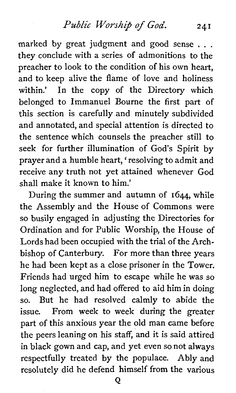*Public Wo~rhip* **of** *God.* **241** 

marked by great judgment and good sense . . . they conclude with a series of admonitions to the preacher to look to the condition of his own heart, and to keep alive the flame of love and holiness within.' In the copy of the Directory which belonged to Immanuel Bourne the first part of this section is carefully and minutely subdivided and annotated, and special attention is directed to the sentence which counsels the preacher still to seek for further illumination of God's Spirit by prayer and a humble heart, ' resolving to admit and receive any truth not yet attained whenever God shall make it known to him.'

During the summer and autumn of 1644, while the Assembly and the House of Commons were so busily engaged in adjusting the Directories for Ordination and for Public Worship, the House of Lords had been occupied with the trial of the Archbishop of Canterbury. For more than three years he had been kept as a close prisoner in the Tower. Friends had urged him to escape while he was so long neglected, and had offered to aid him in doing so. But he had resolved calmly to abide the issue. From week to week during the greater part of this anxious year the old man came before the peers leaning on his staff, and it is said attired in black gown and cap, and yet even so not always respectfully treated by the populace. Ably and resolutely did he defend himself from the various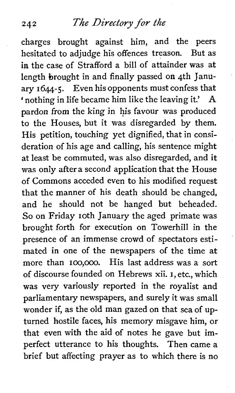charges brought against him, and the peers hesitated to adjudge his offences treason. But as in the case of Strafford a bill of attainder was at length brought in and finally passed on 4th January **1644-5.** Even his opponents must confess that nothing in life became him like the leaving it.' **A**  pardon from the king in his favour was produced to the Houses, but it was disregarded by them. His petition, touching yet dignified, that in consideration of his age and calling, his sentence might at least be commuted, was also disregarded, and it was only after a second application that the House of Commons acceded even to his modified request that the manner of his death should be changed, and he should not be hanged but beheaded. So on Friday 10th January the aged primate was brought forth for execution on Towerhill in the presence of an immense crowd of spectators estimated in one of the newspapers of the time at more than IOO,OOO. His last address was a sort of discourse founded on Hebrews xii. I, etc., which was very variously reported in the royalist and parliamentary newspapers, and surely it was small wonder if, as the old man gazed on that sea of upturned hostile faces, his memory misgave him, or that even with the aid of notes he gave but imperfect utterance to his thoughts. Then came a brief but affecting prayer as to which there is no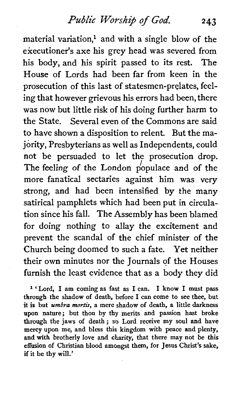*Public Worship* **of** God. 243

material variation,<sup>1</sup> and with a single blow of the executioner's axe his grey head was severed from his body, and his spirit passed to its rest. The House of Lords had been far from keen in the prosecution of this last of statesmen-prelates, feeling that however grievous his errors had been, there was now but little risk of his doing further harm to the State. Several even of the Commons are said to have shown a disposition to relent. But the majority, Presbyterians as well as Independents, could not be persuaded to let the prosecution drop. The feeling of the London populace and of the more fanatical sectaries against him was very strong, and had been intensified by the many satirical pamphlets which had been put in circulation since his fall. The Assembly has been blamed for doing nothing to allay the excitement and prevent the scandal of the chief minister of the Church being doomed to such a fate. Yet neither their own minutes nor the Journals of the Houses furnish the least evidence that as **a** body they did

**<sup>l</sup>**'Lord, I am coming as fast as I can. I know I must pass through the shadow of death, before I can come to see thee, but it is but umbra *mortis,* a mere shadow of death, a little darkness upon nature; but thou by thy merits and passion hast broke through the jaws of death; so Lord receive my soul and have mercy upon me, and bless this kingdom with peace and plenty, and with brotherly love and charity, that there may not be **this**  effusion of Christian blood amongst them, for Jesus Christ's sake, if it be thy will.'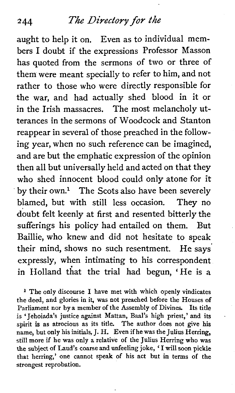aught to help it on. Even as to individual members I doubt if the expressions Professor Masson has quoted from the sermons of two or three of them were meant specially to refer to him, and not rather to those who were directly responsible for the war, and had actually shed blood in it or in the Irish massacres. The most melancholy utterances in the sermons of Woodcock and Stanton reappear in several of those preached in the following year, when no such reference can be imagined, and are but the emphatic expression of the opinion then all but universally held and acted on that they who shed innocent blood could only atone for it by their own.<sup>1</sup> The Scots also have been severely blamed, but with still less occasion. They no doubt felt keenly at first and resented bitterly the sufferings his policy had entailed on them. But Baillie, who knew and did not hesitate to speak their mind, shows no such resentment. He says expressly, when intimating to his correspondent in Holland that the trial had begun, 'He is a

**l** The only discourse I have met with which openly vindicates the deed, and glories in it, was not preached before the Houses of Parliament nor by a member of the Assembly of Divines. Its title is ' Jehoiada's justice against Mattan, Baal's high priest,' and its spirit is as atrocious as its title. The author does not give his name, but only his initials, J. H. Even if he was the Julius Herring, still more if he was only a relative of the Julius Herring who was the subject of Laud's coarse and unfeeling joke, ' I will soon pickle that herring,' one cannot speak of his act but in terms of the strongest reprobation.